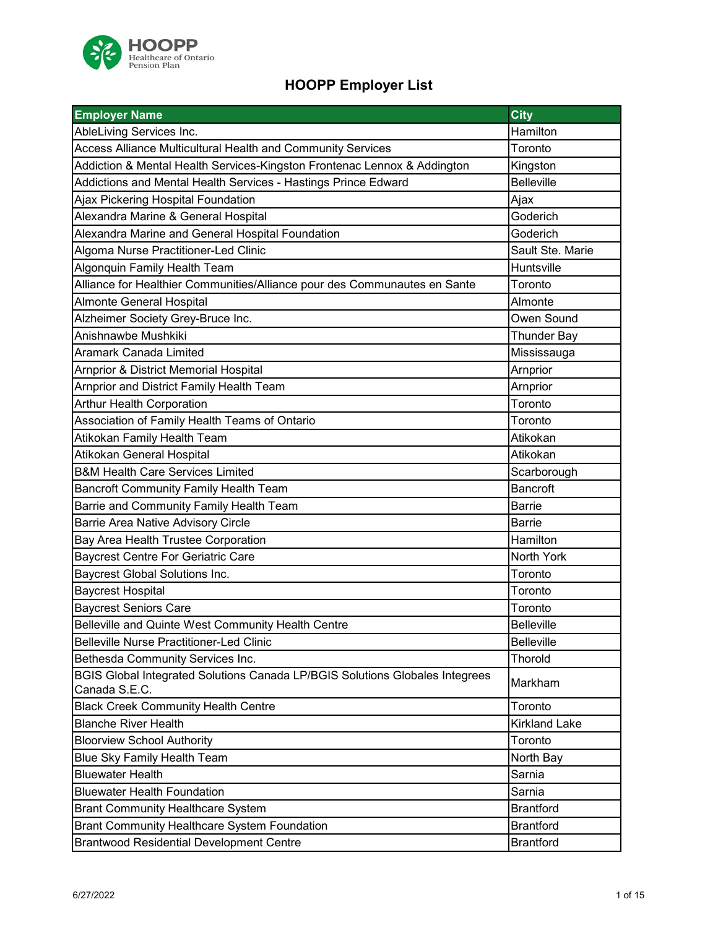

| <b>Employer Name</b>                                                                          | City                 |
|-----------------------------------------------------------------------------------------------|----------------------|
| AbleLiving Services Inc.                                                                      | Hamilton             |
| Access Alliance Multicultural Health and Community Services                                   | Toronto              |
| Addiction & Mental Health Services-Kingston Frontenac Lennox & Addington                      | Kingston             |
| Addictions and Mental Health Services - Hastings Prince Edward                                | <b>Belleville</b>    |
| Ajax Pickering Hospital Foundation                                                            | Ajax                 |
| Alexandra Marine & General Hospital                                                           | Goderich             |
| Alexandra Marine and General Hospital Foundation                                              | Goderich             |
| Algoma Nurse Practitioner-Led Clinic                                                          | Sault Ste. Marie     |
| Algonquin Family Health Team                                                                  | Huntsville           |
| Alliance for Healthier Communities/Alliance pour des Communautes en Sante                     | Toronto              |
| <b>Almonte General Hospital</b>                                                               | Almonte              |
| Alzheimer Society Grey-Bruce Inc.                                                             | Owen Sound           |
| Anishnawbe Mushkiki                                                                           | <b>Thunder Bay</b>   |
| Aramark Canada Limited                                                                        | Mississauga          |
| Arnprior & District Memorial Hospital                                                         | Arnprior             |
| Arnprior and District Family Health Team                                                      | Arnprior             |
| <b>Arthur Health Corporation</b>                                                              | Toronto              |
| Association of Family Health Teams of Ontario                                                 | Toronto              |
| Atikokan Family Health Team                                                                   | Atikokan             |
| Atikokan General Hospital                                                                     | Atikokan             |
| <b>B&amp;M Health Care Services Limited</b>                                                   | Scarborough          |
| <b>Bancroft Community Family Health Team</b>                                                  | Bancroft             |
| Barrie and Community Family Health Team                                                       | <b>Barrie</b>        |
| Barrie Area Native Advisory Circle                                                            | <b>Barrie</b>        |
| Bay Area Health Trustee Corporation                                                           | Hamilton             |
| <b>Baycrest Centre For Geriatric Care</b>                                                     | North York           |
| <b>Baycrest Global Solutions Inc.</b>                                                         | Toronto              |
| <b>Baycrest Hospital</b>                                                                      | Toronto              |
| <b>Baycrest Seniors Care</b>                                                                  | Toronto              |
| Belleville and Quinte West Community Health Centre                                            | <b>Belleville</b>    |
| <b>Belleville Nurse Practitioner-Led Clinic</b>                                               | <b>Belleville</b>    |
| Bethesda Community Services Inc.                                                              | Thorold              |
| BGIS Global Integrated Solutions Canada LP/BGIS Solutions Globales Integrees<br>Canada S.E.C. | Markham              |
| <b>Black Creek Community Health Centre</b>                                                    | Toronto              |
| <b>Blanche River Health</b>                                                                   | <b>Kirkland Lake</b> |
| <b>Bloorview School Authority</b>                                                             | Toronto              |
| Blue Sky Family Health Team                                                                   | North Bay            |
| <b>Bluewater Health</b>                                                                       | Sarnia               |
| <b>Bluewater Health Foundation</b>                                                            | Sarnia               |
| <b>Brant Community Healthcare System</b>                                                      | <b>Brantford</b>     |
| <b>Brant Community Healthcare System Foundation</b>                                           | <b>Brantford</b>     |
| <b>Brantwood Residential Development Centre</b>                                               | <b>Brantford</b>     |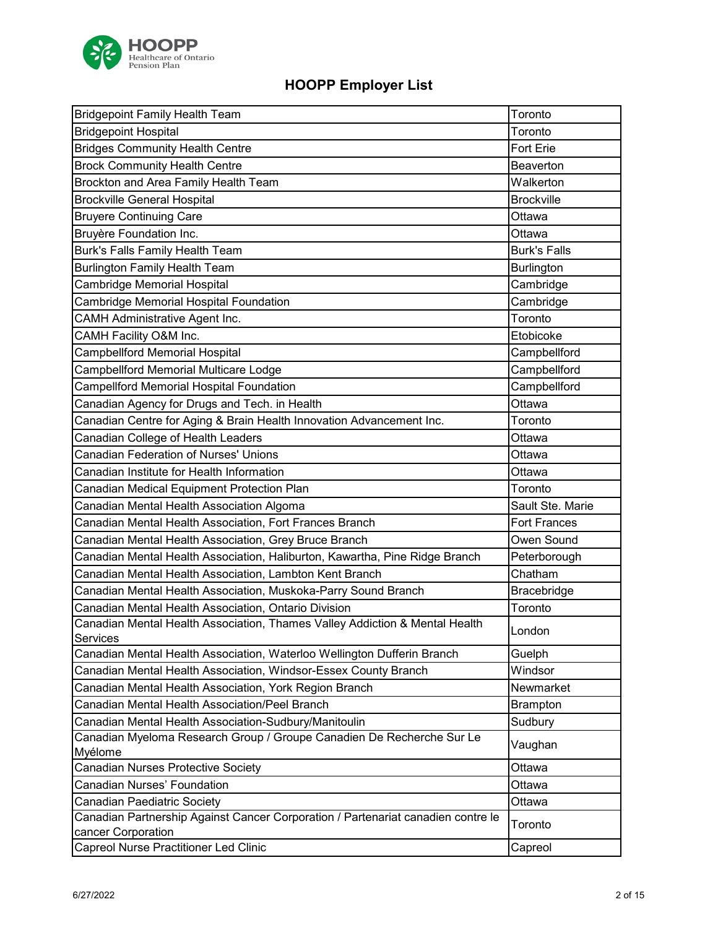

| <b>Bridgepoint Family Health Team</b>                                                                           | Toronto             |
|-----------------------------------------------------------------------------------------------------------------|---------------------|
| <b>Bridgepoint Hospital</b>                                                                                     | Toronto             |
| <b>Bridges Community Health Centre</b>                                                                          | Fort Erie           |
| <b>Brock Community Health Centre</b>                                                                            | Beaverton           |
| Brockton and Area Family Health Team                                                                            | Walkerton           |
| <b>Brockville General Hospital</b>                                                                              | <b>Brockville</b>   |
| <b>Bruyere Continuing Care</b>                                                                                  | Ottawa              |
| Bruyère Foundation Inc.                                                                                         | Ottawa              |
| Burk's Falls Family Health Team                                                                                 | <b>Burk's Falls</b> |
| <b>Burlington Family Health Team</b>                                                                            | <b>Burlington</b>   |
| Cambridge Memorial Hospital                                                                                     | Cambridge           |
| Cambridge Memorial Hospital Foundation                                                                          | Cambridge           |
| <b>CAMH Administrative Agent Inc.</b>                                                                           | Toronto             |
| CAMH Facility O&M Inc.                                                                                          | Etobicoke           |
| Campbellford Memorial Hospital                                                                                  | Campbellford        |
| Campbellford Memorial Multicare Lodge                                                                           | Campbellford        |
| <b>Campellford Memorial Hospital Foundation</b>                                                                 | Campbellford        |
| Canadian Agency for Drugs and Tech. in Health                                                                   | Ottawa              |
| Canadian Centre for Aging & Brain Health Innovation Advancement Inc.                                            | Toronto             |
| Canadian College of Health Leaders                                                                              | Ottawa              |
| Canadian Federation of Nurses' Unions                                                                           | Ottawa              |
| Canadian Institute for Health Information                                                                       | Ottawa              |
| Canadian Medical Equipment Protection Plan                                                                      | Toronto             |
| Canadian Mental Health Association Algoma                                                                       | Sault Ste. Marie    |
| Canadian Mental Health Association, Fort Frances Branch                                                         | <b>Fort Frances</b> |
| Canadian Mental Health Association, Grey Bruce Branch                                                           | Owen Sound          |
| Canadian Mental Health Association, Haliburton, Kawartha, Pine Ridge Branch                                     | Peterborough        |
| Canadian Mental Health Association, Lambton Kent Branch                                                         | Chatham             |
| Canadian Mental Health Association, Muskoka-Parry Sound Branch                                                  | Bracebridge         |
| Canadian Mental Health Association, Ontario Division                                                            | Toronto             |
| Canadian Mental Health Association, Thames Valley Addiction & Mental Health<br>Services                         | London              |
| Canadian Mental Health Association, Waterloo Wellington Dufferin Branch                                         | Guelph              |
| Canadian Mental Health Association, Windsor-Essex County Branch                                                 | Windsor             |
| Canadian Mental Health Association, York Region Branch                                                          | Newmarket           |
| Canadian Mental Health Association/Peel Branch                                                                  | <b>Brampton</b>     |
| Canadian Mental Health Association-Sudbury/Manitoulin                                                           | Sudbury             |
| Canadian Myeloma Research Group / Groupe Canadien De Recherche Sur Le                                           | Vaughan             |
| Myélome                                                                                                         | Ottawa              |
| Canadian Nurses Protective Society<br><b>Canadian Nurses' Foundation</b>                                        | Ottawa              |
|                                                                                                                 |                     |
| Canadian Paediatric Society<br>Canadian Partnership Against Cancer Corporation / Partenariat canadien contre le | Ottawa              |
| cancer Corporation                                                                                              | Toronto             |
| Capreol Nurse Practitioner Led Clinic                                                                           | Capreol             |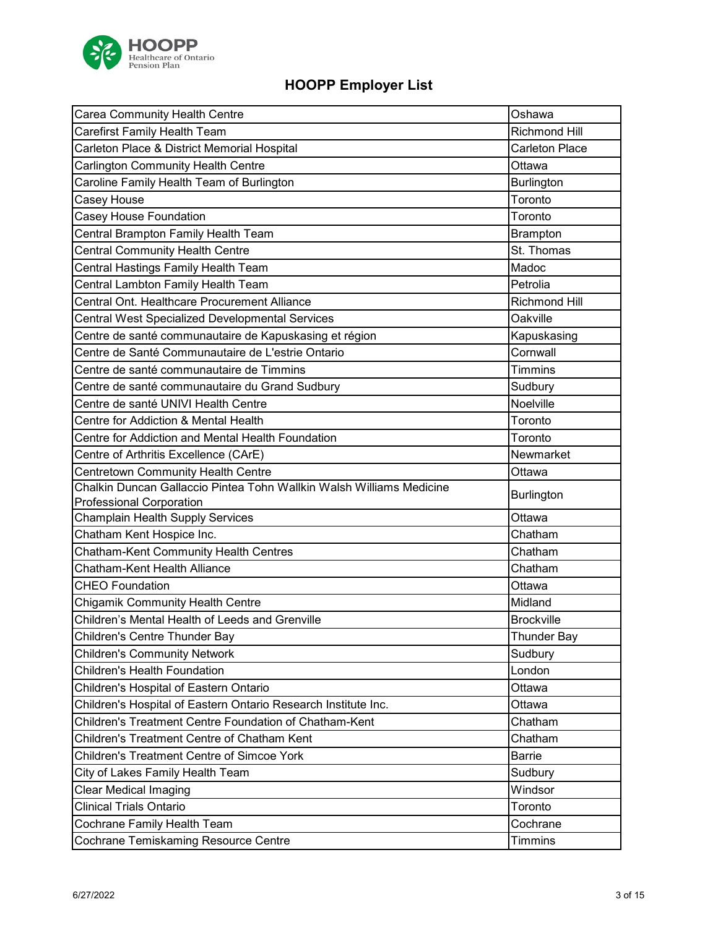

| Carea Community Health Centre                                        | Oshawa                |
|----------------------------------------------------------------------|-----------------------|
| Carefirst Family Health Team                                         | <b>Richmond Hill</b>  |
| Carleton Place & District Memorial Hospital                          | <b>Carleton Place</b> |
| Carlington Community Health Centre                                   | Ottawa                |
| Caroline Family Health Team of Burlington                            | <b>Burlington</b>     |
| Casey House                                                          | Toronto               |
| Casey House Foundation                                               | Toronto               |
| Central Brampton Family Health Team                                  | <b>Brampton</b>       |
| <b>Central Community Health Centre</b>                               | St. Thomas            |
| Central Hastings Family Health Team                                  | Madoc                 |
| Central Lambton Family Health Team                                   | Petrolia              |
| Central Ont. Healthcare Procurement Alliance                         | <b>Richmond Hill</b>  |
| Central West Specialized Developmental Services                      | Oakville              |
| Centre de santé communautaire de Kapuskasing et région               | Kapuskasing           |
| Centre de Santé Communautaire de L'estrie Ontario                    | Cornwall              |
| Centre de santé communautaire de Timmins                             | <b>Timmins</b>        |
| Centre de santé communautaire du Grand Sudbury                       | Sudbury               |
| Centre de santé UNIVI Health Centre                                  | Noelville             |
| Centre for Addiction & Mental Health                                 | Toronto               |
| Centre for Addiction and Mental Health Foundation                    | Toronto               |
| Centre of Arthritis Excellence (CArE)                                | Newmarket             |
| Centretown Community Health Centre                                   | Ottawa                |
| Chalkin Duncan Gallaccio Pintea Tohn Wallkin Walsh Williams Medicine |                       |
| <b>Professional Corporation</b>                                      | <b>Burlington</b>     |
| <b>Champlain Health Supply Services</b>                              | Ottawa                |
| Chatham Kent Hospice Inc.                                            | Chatham               |
| Chatham-Kent Community Health Centres                                | Chatham               |
| <b>Chatham-Kent Health Alliance</b>                                  | Chatham               |
| <b>CHEO Foundation</b>                                               | Ottawa                |
| Chigamik Community Health Centre                                     | Midland               |
| Children's Mental Health of Leeds and Grenville                      | <b>Brockville</b>     |
| Children's Centre Thunder Bay                                        | <b>Thunder Bay</b>    |
| <b>Children's Community Network</b>                                  | Sudbury               |
| Children's Health Foundation                                         | London                |
| Children's Hospital of Eastern Ontario                               | Ottawa                |
| Children's Hospital of Eastern Ontario Research Institute Inc.       | Ottawa                |
| Children's Treatment Centre Foundation of Chatham-Kent               | Chatham               |
| Children's Treatment Centre of Chatham Kent                          | Chatham               |
| <b>Children's Treatment Centre of Simcoe York</b>                    | Barrie                |
| City of Lakes Family Health Team                                     | Sudbury               |
| Clear Medical Imaging                                                |                       |
|                                                                      | Windsor               |
| <b>Clinical Trials Ontario</b>                                       | Toronto               |
| Cochrane Family Health Team                                          | Cochrane              |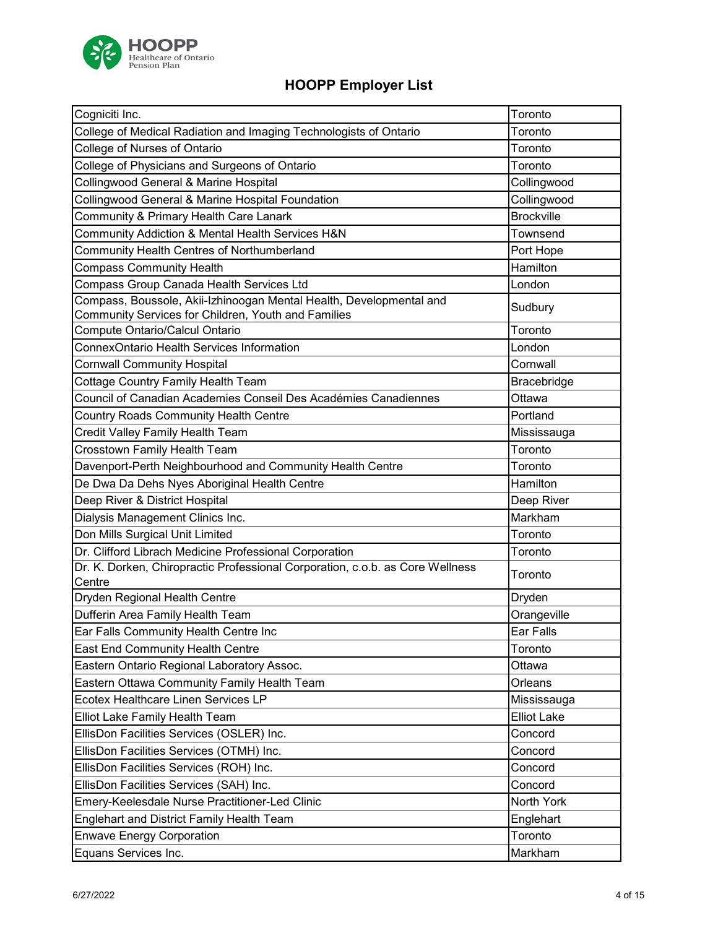

| Cogniciti Inc.                                                                                                             | Toronto            |
|----------------------------------------------------------------------------------------------------------------------------|--------------------|
| College of Medical Radiation and Imaging Technologists of Ontario                                                          | Toronto            |
| College of Nurses of Ontario                                                                                               | Toronto            |
| College of Physicians and Surgeons of Ontario                                                                              | Toronto            |
| Collingwood General & Marine Hospital                                                                                      | Collingwood        |
| Collingwood General & Marine Hospital Foundation                                                                           | Collingwood        |
| Community & Primary Health Care Lanark                                                                                     | <b>Brockville</b>  |
| Community Addiction & Mental Health Services H&N                                                                           | Townsend           |
| Community Health Centres of Northumberland                                                                                 | Port Hope          |
| <b>Compass Community Health</b>                                                                                            | Hamilton           |
| Compass Group Canada Health Services Ltd                                                                                   | London             |
| Compass, Boussole, Akii-Izhinoogan Mental Health, Developmental and<br>Community Services for Children, Youth and Families | Sudbury            |
| Compute Ontario/Calcul Ontario                                                                                             | Toronto            |
| ConnexOntario Health Services Information                                                                                  | London             |
| <b>Cornwall Community Hospital</b>                                                                                         | Cornwall           |
| Cottage Country Family Health Team                                                                                         | Bracebridge        |
| Council of Canadian Academies Conseil Des Académies Canadiennes                                                            | Ottawa             |
| Country Roads Community Health Centre                                                                                      | Portland           |
| Credit Valley Family Health Team                                                                                           | Mississauga        |
| Crosstown Family Health Team                                                                                               | Toronto            |
| Davenport-Perth Neighbourhood and Community Health Centre                                                                  | Toronto            |
| De Dwa Da Dehs Nyes Aboriginal Health Centre                                                                               | Hamilton           |
| Deep River & District Hospital                                                                                             | Deep River         |
| Dialysis Management Clinics Inc.                                                                                           | Markham            |
| Don Mills Surgical Unit Limited                                                                                            | Toronto            |
| Dr. Clifford Librach Medicine Professional Corporation                                                                     | Toronto            |
| Dr. K. Dorken, Chiropractic Professional Corporation, c.o.b. as Core Wellness<br>Centre                                    | Toronto            |
| Dryden Regional Health Centre                                                                                              | Dryden             |
| Dufferin Area Family Health Team                                                                                           | Orangeville        |
| Ear Falls Community Health Centre Inc                                                                                      | Ear Falls          |
| East End Community Health Centre                                                                                           | Toronto            |
| Eastern Ontario Regional Laboratory Assoc.                                                                                 | Ottawa             |
| Eastern Ottawa Community Family Health Team                                                                                | Orleans            |
| Ecotex Healthcare Linen Services LP                                                                                        | Mississauga        |
| Elliot Lake Family Health Team                                                                                             | <b>Elliot Lake</b> |
| EllisDon Facilities Services (OSLER) Inc.                                                                                  | Concord            |
| EllisDon Facilities Services (OTMH) Inc.                                                                                   | Concord            |
| EllisDon Facilities Services (ROH) Inc.                                                                                    | Concord            |
| EllisDon Facilities Services (SAH) Inc.                                                                                    | Concord            |
| Emery-Keelesdale Nurse Practitioner-Led Clinic                                                                             | North York         |
| Englehart and District Family Health Team                                                                                  | Englehart          |
| <b>Enwave Energy Corporation</b>                                                                                           | Toronto            |
| Equans Services Inc.                                                                                                       | Markham            |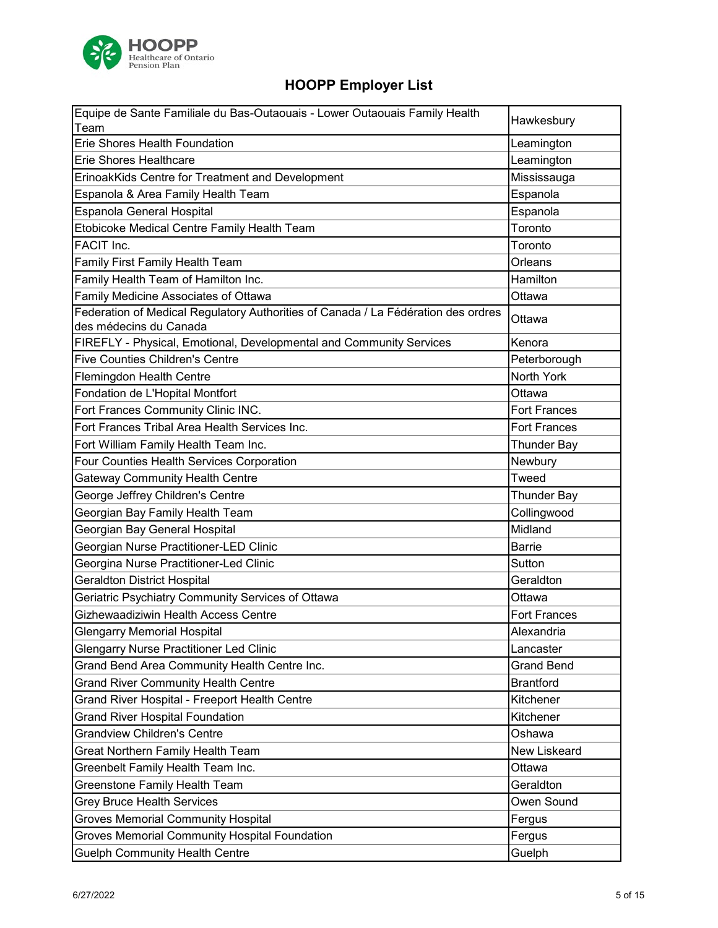

| Equipe de Sante Familiale du Bas-Outaouais - Lower Outaouais Family Health        | Hawkesbury          |
|-----------------------------------------------------------------------------------|---------------------|
| Team                                                                              |                     |
| <b>Erie Shores Health Foundation</b>                                              | Leamington          |
| <b>Erie Shores Healthcare</b>                                                     | Leamington          |
| ErinoakKids Centre for Treatment and Development                                  | Mississauga         |
| Espanola & Area Family Health Team                                                | Espanola            |
| Espanola General Hospital                                                         | Espanola            |
| Etobicoke Medical Centre Family Health Team                                       | Toronto             |
| FACIT Inc.                                                                        | Toronto             |
| Family First Family Health Team                                                   | Orleans             |
| Family Health Team of Hamilton Inc.                                               | Hamilton            |
| Family Medicine Associates of Ottawa                                              | Ottawa              |
| Federation of Medical Regulatory Authorities of Canada / La Fédération des ordres | Ottawa              |
| des médecins du Canada                                                            |                     |
| FIREFLY - Physical, Emotional, Developmental and Community Services               | Kenora              |
| <b>Five Counties Children's Centre</b>                                            | Peterborough        |
| <b>Flemingdon Health Centre</b>                                                   | North York          |
| Fondation de L'Hopital Montfort                                                   | Ottawa              |
| Fort Frances Community Clinic INC.                                                | <b>Fort Frances</b> |
| Fort Frances Tribal Area Health Services Inc.                                     | <b>Fort Frances</b> |
| Fort William Family Health Team Inc.                                              | <b>Thunder Bay</b>  |
| Four Counties Health Services Corporation                                         | Newbury             |
| <b>Gateway Community Health Centre</b>                                            | Tweed               |
| George Jeffrey Children's Centre                                                  | <b>Thunder Bay</b>  |
| Georgian Bay Family Health Team                                                   | Collingwood         |
| Georgian Bay General Hospital                                                     | Midland             |
| Georgian Nurse Practitioner-LED Clinic                                            | <b>Barrie</b>       |
| Georgina Nurse Practitioner-Led Clinic                                            | Sutton              |
| <b>Geraldton District Hospital</b>                                                | Geraldton           |
| Geriatric Psychiatry Community Services of Ottawa                                 | Ottawa              |
| Gizhewaadiziwin Health Access Centre                                              | <b>Fort Frances</b> |
| <b>Glengarry Memorial Hospital</b>                                                | Alexandria          |
| <b>Glengarry Nurse Practitioner Led Clinic</b>                                    | Lancaster           |
| Grand Bend Area Community Health Centre Inc.                                      | <b>Grand Bend</b>   |
| <b>Grand River Community Health Centre</b>                                        | <b>Brantford</b>    |
| Grand River Hospital - Freeport Health Centre                                     | Kitchener           |
| <b>Grand River Hospital Foundation</b>                                            | Kitchener           |
| <b>Grandview Children's Centre</b>                                                | Oshawa              |
| Great Northern Family Health Team                                                 | New Liskeard        |
| Greenbelt Family Health Team Inc.                                                 | Ottawa              |
| Greenstone Family Health Team                                                     | Geraldton           |
| <b>Grey Bruce Health Services</b>                                                 | Owen Sound          |
| <b>Groves Memorial Community Hospital</b>                                         | Fergus              |
| <b>Groves Memorial Community Hospital Foundation</b>                              | Fergus              |
|                                                                                   |                     |
| <b>Guelph Community Health Centre</b>                                             | Guelph              |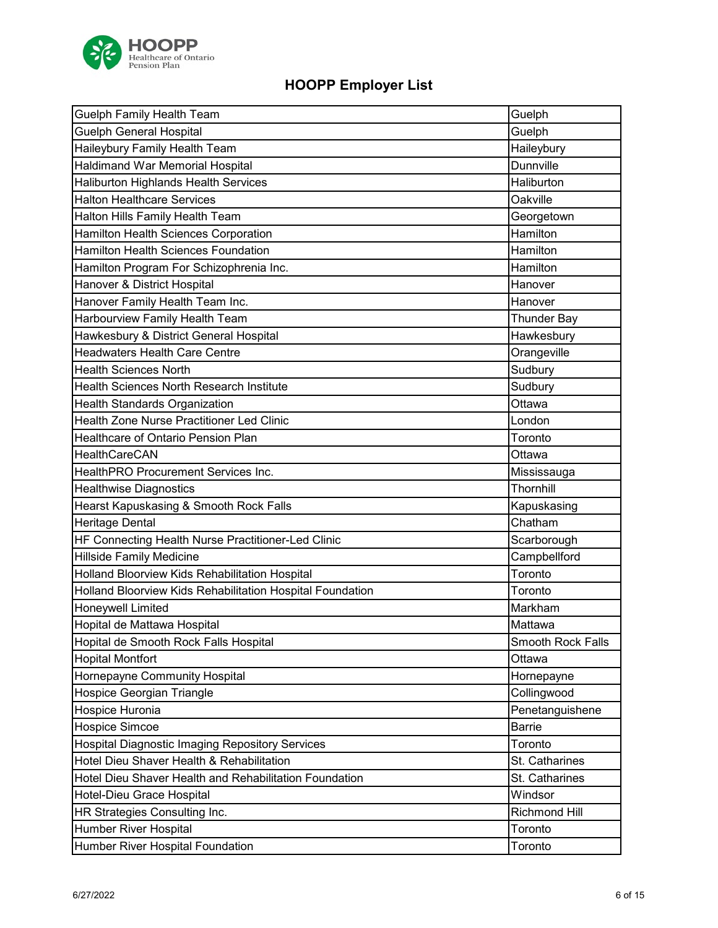

| <b>Guelph Family Health Team</b>                          | Guelph                   |
|-----------------------------------------------------------|--------------------------|
| Guelph General Hospital                                   | Guelph                   |
| Haileybury Family Health Team                             | Haileybury               |
| <b>Haldimand War Memorial Hospital</b>                    | Dunnville                |
| <b>Haliburton Highlands Health Services</b>               | Haliburton               |
| <b>Halton Healthcare Services</b>                         | Oakville                 |
| Halton Hills Family Health Team                           | Georgetown               |
| Hamilton Health Sciences Corporation                      | Hamilton                 |
| <b>Hamilton Health Sciences Foundation</b>                | Hamilton                 |
| Hamilton Program For Schizophrenia Inc.                   | Hamilton                 |
| Hanover & District Hospital                               | Hanover                  |
| Hanover Family Health Team Inc.                           | Hanover                  |
| Harbourview Family Health Team                            | <b>Thunder Bay</b>       |
| Hawkesbury & District General Hospital                    | Hawkesbury               |
| <b>Headwaters Health Care Centre</b>                      | Orangeville              |
| <b>Health Sciences North</b>                              | Sudbury                  |
| <b>Health Sciences North Research Institute</b>           | Sudbury                  |
| Health Standards Organization                             | Ottawa                   |
| Health Zone Nurse Practitioner Led Clinic                 | London                   |
| Healthcare of Ontario Pension Plan                        | Toronto                  |
| <b>HealthCareCAN</b>                                      | Ottawa                   |
| HealthPRO Procurement Services Inc.                       | Mississauga              |
| <b>Healthwise Diagnostics</b>                             | Thornhill                |
| Hearst Kapuskasing & Smooth Rock Falls                    | Kapuskasing              |
| <b>Heritage Dental</b>                                    | Chatham                  |
| HF Connecting Health Nurse Practitioner-Led Clinic        | Scarborough              |
| <b>Hillside Family Medicine</b>                           | Campbellford             |
| Holland Bloorview Kids Rehabilitation Hospital            | Toronto                  |
| Holland Bloorview Kids Rehabilitation Hospital Foundation | Toronto                  |
| Honeywell Limited                                         | Markham                  |
| Hopital de Mattawa Hospital                               | Mattawa                  |
| Hopital de Smooth Rock Falls Hospital                     | <b>Smooth Rock Falls</b> |
| <b>Hopital Montfort</b>                                   | Ottawa                   |
| Hornepayne Community Hospital                             | Hornepayne               |
| Hospice Georgian Triangle                                 | Collingwood              |
| Hospice Huronia                                           | Penetanguishene          |
| Hospice Simcoe                                            | Barrie                   |
| <b>Hospital Diagnostic Imaging Repository Services</b>    | Toronto                  |
| Hotel Dieu Shaver Health & Rehabilitation                 | St. Catharines           |
| Hotel Dieu Shaver Health and Rehabilitation Foundation    | St. Catharines           |
| Hotel-Dieu Grace Hospital                                 | Windsor                  |
| HR Strategies Consulting Inc.                             | Richmond Hill            |
| Humber River Hospital                                     | Toronto                  |
| Humber River Hospital Foundation                          | Toronto                  |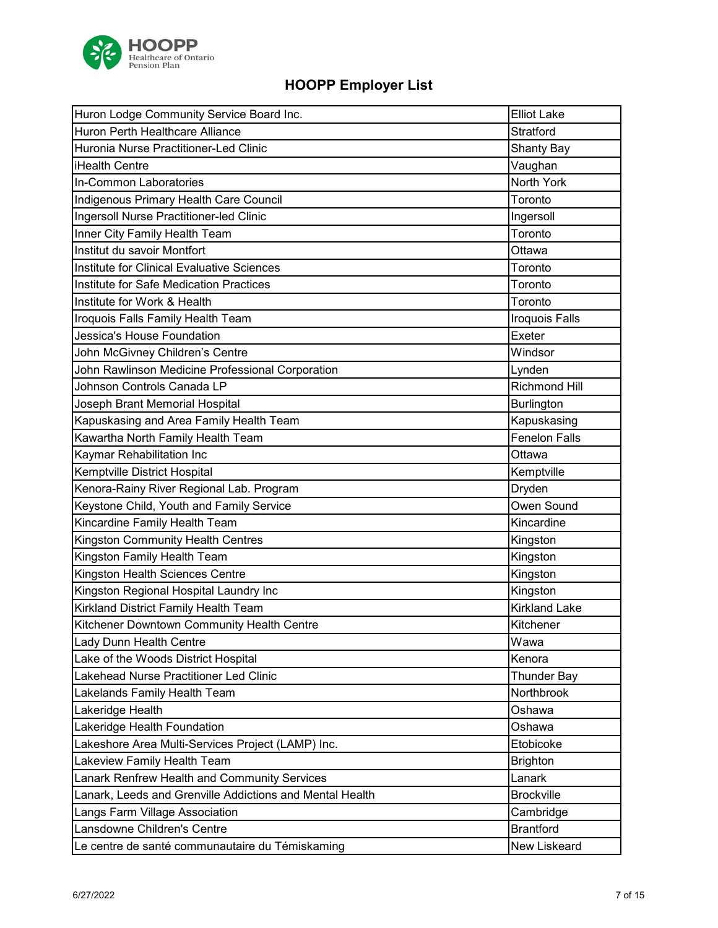

| Huron Lodge Community Service Board Inc.                 | <b>Elliot Lake</b>   |
|----------------------------------------------------------|----------------------|
| Huron Perth Healthcare Alliance                          | Stratford            |
| Huronia Nurse Practitioner-Led Clinic                    | <b>Shanty Bay</b>    |
| iHealth Centre                                           | Vaughan              |
| In-Common Laboratories                                   | North York           |
| Indigenous Primary Health Care Council                   | Toronto              |
| Ingersoll Nurse Practitioner-led Clinic                  | Ingersoll            |
| Inner City Family Health Team                            | Toronto              |
| Institut du savoir Montfort                              | Ottawa               |
| Institute for Clinical Evaluative Sciences               | Toronto              |
| <b>Institute for Safe Medication Practices</b>           | Toronto              |
| Institute for Work & Health                              | Toronto              |
| Iroquois Falls Family Health Team                        | Iroquois Falls       |
| Jessica's House Foundation                               | Exeter               |
| John McGivney Children's Centre                          | Windsor              |
| John Rawlinson Medicine Professional Corporation         | Lynden               |
| Johnson Controls Canada LP                               | Richmond Hill        |
| Joseph Brant Memorial Hospital                           | <b>Burlington</b>    |
| Kapuskasing and Area Family Health Team                  | Kapuskasing          |
| Kawartha North Family Health Team                        | <b>Fenelon Falls</b> |
| Kaymar Rehabilitation Inc                                | Ottawa               |
| Kemptville District Hospital                             | Kemptville           |
| Kenora-Rainy River Regional Lab. Program                 | Dryden               |
| Keystone Child, Youth and Family Service                 | Owen Sound           |
| Kincardine Family Health Team                            | Kincardine           |
| Kingston Community Health Centres                        | Kingston             |
| Kingston Family Health Team                              | Kingston             |
| Kingston Health Sciences Centre                          | Kingston             |
| Kingston Regional Hospital Laundry Inc                   | Kingston             |
| Kirkland District Family Health Team                     | <b>Kirkland Lake</b> |
| Kitchener Downtown Community Health Centre               | Kitchener            |
| Lady Dunn Health Centre                                  | Wawa                 |
| Lake of the Woods District Hospital                      | Kenora               |
| Lakehead Nurse Practitioner Led Clinic                   | <b>Thunder Bay</b>   |
| Lakelands Family Health Team                             | Northbrook           |
| Lakeridge Health                                         | Oshawa               |
| Lakeridge Health Foundation                              | Oshawa               |
| Lakeshore Area Multi-Services Project (LAMP) Inc.        | Etobicoke            |
| Lakeview Family Health Team                              | <b>Brighton</b>      |
| Lanark Renfrew Health and Community Services             | Lanark               |
| Lanark, Leeds and Grenville Addictions and Mental Health | <b>Brockville</b>    |
|                                                          |                      |
| Langs Farm Village Association                           | Cambridge            |
| Lansdowne Children's Centre                              | <b>Brantford</b>     |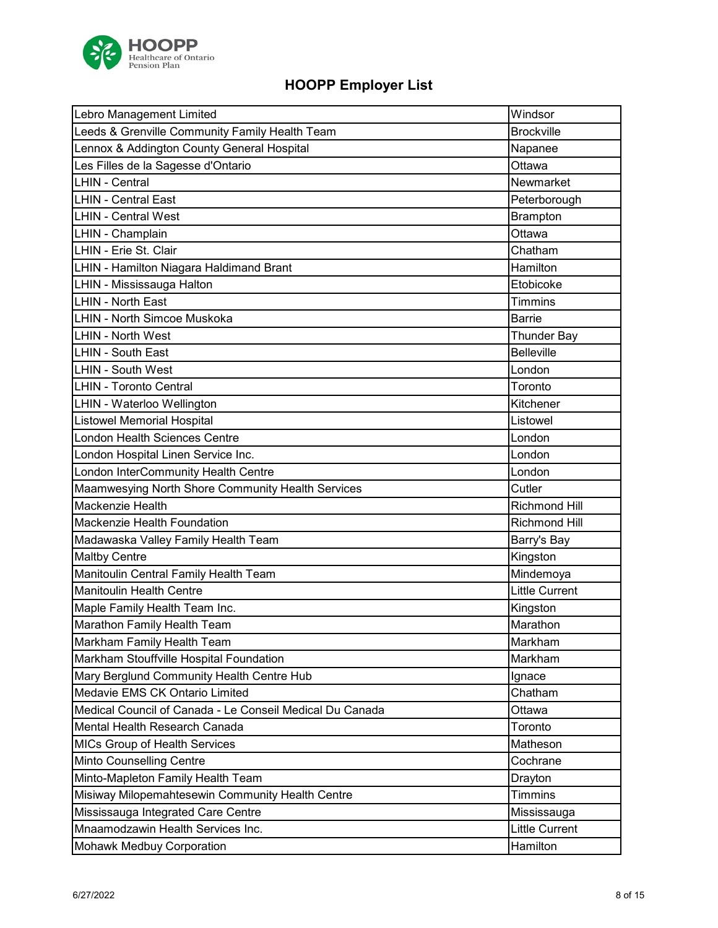

| Leeds & Grenville Community Family Health Team<br><b>Brockville</b><br>Lennox & Addington County General Hospital<br>Napanee<br>Les Filles de la Sagesse d'Ontario<br>Ottawa<br><b>LHIN - Central</b><br>Newmarket<br><b>LHIN - Central East</b><br>Peterborough<br><b>LHIN - Central West</b><br><b>Brampton</b><br>LHIN - Champlain<br>Ottawa<br>LHIN - Erie St. Clair<br>Chatham<br>LHIN - Hamilton Niagara Haldimand Brant<br>Hamilton<br>LHIN - Mississauga Halton<br>Etobicoke<br><b>LHIN - North East</b><br><b>Timmins</b><br><b>LHIN - North Simcoe Muskoka</b><br><b>Barrie</b><br><b>LHIN - North West</b><br><b>Thunder Bay</b><br><b>Belleville</b><br><b>LHIN - South East</b><br><b>LHIN - South West</b><br>London<br><b>LHIN - Toronto Central</b><br>Toronto<br>LHIN - Waterloo Wellington<br>Kitchener<br><b>Listowel Memorial Hospital</b><br>Listowel<br><b>London Health Sciences Centre</b><br>London<br>London Hospital Linen Service Inc.<br>London<br>London InterCommunity Health Centre<br>London<br>Maamwesying North Shore Community Health Services<br>Cutler<br>Mackenzie Health<br><b>Richmond Hill</b><br>Mackenzie Health Foundation<br><b>Richmond Hill</b><br>Madawaska Valley Family Health Team<br>Barry's Bay<br><b>Maltby Centre</b><br>Kingston<br>Manitoulin Central Family Health Team<br>Mindemoya<br><b>Manitoulin Health Centre</b><br><b>Little Current</b><br>Maple Family Health Team Inc.<br>Kingston<br>Marathon Family Health Team<br>Marathon<br>Markham Family Health Team<br>Markham<br>Markham Stouffville Hospital Foundation<br>Markham<br>Mary Berglund Community Health Centre Hub<br>Ignace<br>Medavie EMS CK Ontario Limited<br>Chatham | Lebro Management Limited | Windsor |
|--------------------------------------------------------------------------------------------------------------------------------------------------------------------------------------------------------------------------------------------------------------------------------------------------------------------------------------------------------------------------------------------------------------------------------------------------------------------------------------------------------------------------------------------------------------------------------------------------------------------------------------------------------------------------------------------------------------------------------------------------------------------------------------------------------------------------------------------------------------------------------------------------------------------------------------------------------------------------------------------------------------------------------------------------------------------------------------------------------------------------------------------------------------------------------------------------------------------------------------------------------------------------------------------------------------------------------------------------------------------------------------------------------------------------------------------------------------------------------------------------------------------------------------------------------------------------------------------------------------------------------------------------------------------------------------------------------|--------------------------|---------|
|                                                                                                                                                                                                                                                                                                                                                                                                                                                                                                                                                                                                                                                                                                                                                                                                                                                                                                                                                                                                                                                                                                                                                                                                                                                                                                                                                                                                                                                                                                                                                                                                                                                                                                        |                          |         |
|                                                                                                                                                                                                                                                                                                                                                                                                                                                                                                                                                                                                                                                                                                                                                                                                                                                                                                                                                                                                                                                                                                                                                                                                                                                                                                                                                                                                                                                                                                                                                                                                                                                                                                        |                          |         |
|                                                                                                                                                                                                                                                                                                                                                                                                                                                                                                                                                                                                                                                                                                                                                                                                                                                                                                                                                                                                                                                                                                                                                                                                                                                                                                                                                                                                                                                                                                                                                                                                                                                                                                        |                          |         |
|                                                                                                                                                                                                                                                                                                                                                                                                                                                                                                                                                                                                                                                                                                                                                                                                                                                                                                                                                                                                                                                                                                                                                                                                                                                                                                                                                                                                                                                                                                                                                                                                                                                                                                        |                          |         |
|                                                                                                                                                                                                                                                                                                                                                                                                                                                                                                                                                                                                                                                                                                                                                                                                                                                                                                                                                                                                                                                                                                                                                                                                                                                                                                                                                                                                                                                                                                                                                                                                                                                                                                        |                          |         |
|                                                                                                                                                                                                                                                                                                                                                                                                                                                                                                                                                                                                                                                                                                                                                                                                                                                                                                                                                                                                                                                                                                                                                                                                                                                                                                                                                                                                                                                                                                                                                                                                                                                                                                        |                          |         |
|                                                                                                                                                                                                                                                                                                                                                                                                                                                                                                                                                                                                                                                                                                                                                                                                                                                                                                                                                                                                                                                                                                                                                                                                                                                                                                                                                                                                                                                                                                                                                                                                                                                                                                        |                          |         |
|                                                                                                                                                                                                                                                                                                                                                                                                                                                                                                                                                                                                                                                                                                                                                                                                                                                                                                                                                                                                                                                                                                                                                                                                                                                                                                                                                                                                                                                                                                                                                                                                                                                                                                        |                          |         |
|                                                                                                                                                                                                                                                                                                                                                                                                                                                                                                                                                                                                                                                                                                                                                                                                                                                                                                                                                                                                                                                                                                                                                                                                                                                                                                                                                                                                                                                                                                                                                                                                                                                                                                        |                          |         |
|                                                                                                                                                                                                                                                                                                                                                                                                                                                                                                                                                                                                                                                                                                                                                                                                                                                                                                                                                                                                                                                                                                                                                                                                                                                                                                                                                                                                                                                                                                                                                                                                                                                                                                        |                          |         |
|                                                                                                                                                                                                                                                                                                                                                                                                                                                                                                                                                                                                                                                                                                                                                                                                                                                                                                                                                                                                                                                                                                                                                                                                                                                                                                                                                                                                                                                                                                                                                                                                                                                                                                        |                          |         |
|                                                                                                                                                                                                                                                                                                                                                                                                                                                                                                                                                                                                                                                                                                                                                                                                                                                                                                                                                                                                                                                                                                                                                                                                                                                                                                                                                                                                                                                                                                                                                                                                                                                                                                        |                          |         |
|                                                                                                                                                                                                                                                                                                                                                                                                                                                                                                                                                                                                                                                                                                                                                                                                                                                                                                                                                                                                                                                                                                                                                                                                                                                                                                                                                                                                                                                                                                                                                                                                                                                                                                        |                          |         |
|                                                                                                                                                                                                                                                                                                                                                                                                                                                                                                                                                                                                                                                                                                                                                                                                                                                                                                                                                                                                                                                                                                                                                                                                                                                                                                                                                                                                                                                                                                                                                                                                                                                                                                        |                          |         |
|                                                                                                                                                                                                                                                                                                                                                                                                                                                                                                                                                                                                                                                                                                                                                                                                                                                                                                                                                                                                                                                                                                                                                                                                                                                                                                                                                                                                                                                                                                                                                                                                                                                                                                        |                          |         |
|                                                                                                                                                                                                                                                                                                                                                                                                                                                                                                                                                                                                                                                                                                                                                                                                                                                                                                                                                                                                                                                                                                                                                                                                                                                                                                                                                                                                                                                                                                                                                                                                                                                                                                        |                          |         |
|                                                                                                                                                                                                                                                                                                                                                                                                                                                                                                                                                                                                                                                                                                                                                                                                                                                                                                                                                                                                                                                                                                                                                                                                                                                                                                                                                                                                                                                                                                                                                                                                                                                                                                        |                          |         |
|                                                                                                                                                                                                                                                                                                                                                                                                                                                                                                                                                                                                                                                                                                                                                                                                                                                                                                                                                                                                                                                                                                                                                                                                                                                                                                                                                                                                                                                                                                                                                                                                                                                                                                        |                          |         |
|                                                                                                                                                                                                                                                                                                                                                                                                                                                                                                                                                                                                                                                                                                                                                                                                                                                                                                                                                                                                                                                                                                                                                                                                                                                                                                                                                                                                                                                                                                                                                                                                                                                                                                        |                          |         |
|                                                                                                                                                                                                                                                                                                                                                                                                                                                                                                                                                                                                                                                                                                                                                                                                                                                                                                                                                                                                                                                                                                                                                                                                                                                                                                                                                                                                                                                                                                                                                                                                                                                                                                        |                          |         |
|                                                                                                                                                                                                                                                                                                                                                                                                                                                                                                                                                                                                                                                                                                                                                                                                                                                                                                                                                                                                                                                                                                                                                                                                                                                                                                                                                                                                                                                                                                                                                                                                                                                                                                        |                          |         |
|                                                                                                                                                                                                                                                                                                                                                                                                                                                                                                                                                                                                                                                                                                                                                                                                                                                                                                                                                                                                                                                                                                                                                                                                                                                                                                                                                                                                                                                                                                                                                                                                                                                                                                        |                          |         |
|                                                                                                                                                                                                                                                                                                                                                                                                                                                                                                                                                                                                                                                                                                                                                                                                                                                                                                                                                                                                                                                                                                                                                                                                                                                                                                                                                                                                                                                                                                                                                                                                                                                                                                        |                          |         |
|                                                                                                                                                                                                                                                                                                                                                                                                                                                                                                                                                                                                                                                                                                                                                                                                                                                                                                                                                                                                                                                                                                                                                                                                                                                                                                                                                                                                                                                                                                                                                                                                                                                                                                        |                          |         |
|                                                                                                                                                                                                                                                                                                                                                                                                                                                                                                                                                                                                                                                                                                                                                                                                                                                                                                                                                                                                                                                                                                                                                                                                                                                                                                                                                                                                                                                                                                                                                                                                                                                                                                        |                          |         |
|                                                                                                                                                                                                                                                                                                                                                                                                                                                                                                                                                                                                                                                                                                                                                                                                                                                                                                                                                                                                                                                                                                                                                                                                                                                                                                                                                                                                                                                                                                                                                                                                                                                                                                        |                          |         |
|                                                                                                                                                                                                                                                                                                                                                                                                                                                                                                                                                                                                                                                                                                                                                                                                                                                                                                                                                                                                                                                                                                                                                                                                                                                                                                                                                                                                                                                                                                                                                                                                                                                                                                        |                          |         |
|                                                                                                                                                                                                                                                                                                                                                                                                                                                                                                                                                                                                                                                                                                                                                                                                                                                                                                                                                                                                                                                                                                                                                                                                                                                                                                                                                                                                                                                                                                                                                                                                                                                                                                        |                          |         |
|                                                                                                                                                                                                                                                                                                                                                                                                                                                                                                                                                                                                                                                                                                                                                                                                                                                                                                                                                                                                                                                                                                                                                                                                                                                                                                                                                                                                                                                                                                                                                                                                                                                                                                        |                          |         |
|                                                                                                                                                                                                                                                                                                                                                                                                                                                                                                                                                                                                                                                                                                                                                                                                                                                                                                                                                                                                                                                                                                                                                                                                                                                                                                                                                                                                                                                                                                                                                                                                                                                                                                        |                          |         |
|                                                                                                                                                                                                                                                                                                                                                                                                                                                                                                                                                                                                                                                                                                                                                                                                                                                                                                                                                                                                                                                                                                                                                                                                                                                                                                                                                                                                                                                                                                                                                                                                                                                                                                        |                          |         |
|                                                                                                                                                                                                                                                                                                                                                                                                                                                                                                                                                                                                                                                                                                                                                                                                                                                                                                                                                                                                                                                                                                                                                                                                                                                                                                                                                                                                                                                                                                                                                                                                                                                                                                        |                          |         |
|                                                                                                                                                                                                                                                                                                                                                                                                                                                                                                                                                                                                                                                                                                                                                                                                                                                                                                                                                                                                                                                                                                                                                                                                                                                                                                                                                                                                                                                                                                                                                                                                                                                                                                        |                          |         |
|                                                                                                                                                                                                                                                                                                                                                                                                                                                                                                                                                                                                                                                                                                                                                                                                                                                                                                                                                                                                                                                                                                                                                                                                                                                                                                                                                                                                                                                                                                                                                                                                                                                                                                        |                          |         |
| Medical Council of Canada - Le Conseil Medical Du Canada<br>Ottawa                                                                                                                                                                                                                                                                                                                                                                                                                                                                                                                                                                                                                                                                                                                                                                                                                                                                                                                                                                                                                                                                                                                                                                                                                                                                                                                                                                                                                                                                                                                                                                                                                                     |                          |         |
| Mental Health Research Canada<br>Toronto                                                                                                                                                                                                                                                                                                                                                                                                                                                                                                                                                                                                                                                                                                                                                                                                                                                                                                                                                                                                                                                                                                                                                                                                                                                                                                                                                                                                                                                                                                                                                                                                                                                               |                          |         |
| Matheson<br>MICs Group of Health Services                                                                                                                                                                                                                                                                                                                                                                                                                                                                                                                                                                                                                                                                                                                                                                                                                                                                                                                                                                                                                                                                                                                                                                                                                                                                                                                                                                                                                                                                                                                                                                                                                                                              |                          |         |
| Minto Counselling Centre<br>Cochrane                                                                                                                                                                                                                                                                                                                                                                                                                                                                                                                                                                                                                                                                                                                                                                                                                                                                                                                                                                                                                                                                                                                                                                                                                                                                                                                                                                                                                                                                                                                                                                                                                                                                   |                          |         |
| Minto-Mapleton Family Health Team<br>Drayton                                                                                                                                                                                                                                                                                                                                                                                                                                                                                                                                                                                                                                                                                                                                                                                                                                                                                                                                                                                                                                                                                                                                                                                                                                                                                                                                                                                                                                                                                                                                                                                                                                                           |                          |         |
| Misiway Milopemahtesewin Community Health Centre<br><b>Timmins</b>                                                                                                                                                                                                                                                                                                                                                                                                                                                                                                                                                                                                                                                                                                                                                                                                                                                                                                                                                                                                                                                                                                                                                                                                                                                                                                                                                                                                                                                                                                                                                                                                                                     |                          |         |
| Mississauga Integrated Care Centre<br>Mississauga                                                                                                                                                                                                                                                                                                                                                                                                                                                                                                                                                                                                                                                                                                                                                                                                                                                                                                                                                                                                                                                                                                                                                                                                                                                                                                                                                                                                                                                                                                                                                                                                                                                      |                          |         |
| Mnaamodzawin Health Services Inc.<br><b>Little Current</b>                                                                                                                                                                                                                                                                                                                                                                                                                                                                                                                                                                                                                                                                                                                                                                                                                                                                                                                                                                                                                                                                                                                                                                                                                                                                                                                                                                                                                                                                                                                                                                                                                                             |                          |         |
| <b>Mohawk Medbuy Corporation</b><br>Hamilton                                                                                                                                                                                                                                                                                                                                                                                                                                                                                                                                                                                                                                                                                                                                                                                                                                                                                                                                                                                                                                                                                                                                                                                                                                                                                                                                                                                                                                                                                                                                                                                                                                                           |                          |         |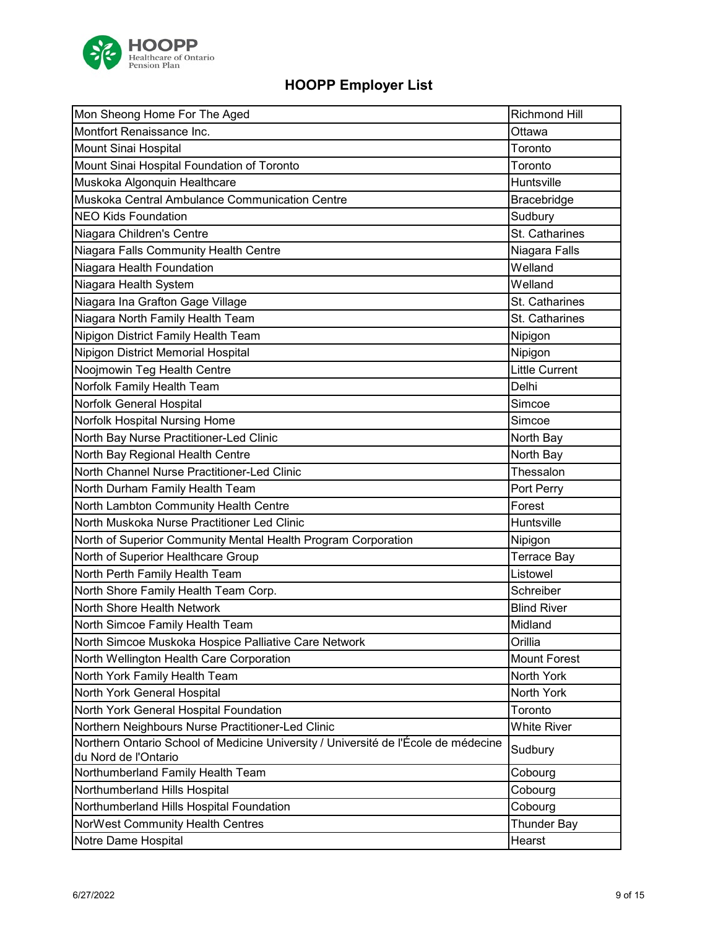

| Mon Sheong Home For The Aged                                                       | <b>Richmond Hill</b>  |
|------------------------------------------------------------------------------------|-----------------------|
| Montfort Renaissance Inc.                                                          | Ottawa                |
| Mount Sinai Hospital                                                               | Toronto               |
| Mount Sinai Hospital Foundation of Toronto                                         | Toronto               |
| Muskoka Algonquin Healthcare                                                       | Huntsville            |
| Muskoka Central Ambulance Communication Centre                                     | Bracebridge           |
| <b>NEO Kids Foundation</b>                                                         | Sudbury               |
| Niagara Children's Centre                                                          | St. Catharines        |
| Niagara Falls Community Health Centre                                              | Niagara Falls         |
| Niagara Health Foundation                                                          | Welland               |
| Niagara Health System                                                              | Welland               |
| Niagara Ina Grafton Gage Village                                                   | St. Catharines        |
| Niagara North Family Health Team                                                   | St. Catharines        |
| Nipigon District Family Health Team                                                | Nipigon               |
| Nipigon District Memorial Hospital                                                 | Nipigon               |
| Noojmowin Teg Health Centre                                                        | <b>Little Current</b> |
| Norfolk Family Health Team                                                         | Delhi                 |
| Norfolk General Hospital                                                           | Simcoe                |
| Norfolk Hospital Nursing Home                                                      | Simcoe                |
| North Bay Nurse Practitioner-Led Clinic                                            | North Bay             |
| North Bay Regional Health Centre                                                   | North Bay             |
| North Channel Nurse Practitioner-Led Clinic                                        | Thessalon             |
| North Durham Family Health Team                                                    | Port Perry            |
| North Lambton Community Health Centre                                              | Forest                |
| North Muskoka Nurse Practitioner Led Clinic                                        | Huntsville            |
| North of Superior Community Mental Health Program Corporation                      | Nipigon               |
| North of Superior Healthcare Group                                                 | <b>Terrace Bay</b>    |
| North Perth Family Health Team                                                     | Listowel              |
| North Shore Family Health Team Corp.                                               | Schreiber             |
| North Shore Health Network                                                         | <b>Blind River</b>    |
| North Simcoe Family Health Team                                                    | Midland               |
| North Simcoe Muskoka Hospice Palliative Care Network                               | Orillia               |
| North Wellington Health Care Corporation                                           | <b>Mount Forest</b>   |
| North York Family Health Team                                                      | North York            |
| North York General Hospital                                                        | North York            |
| North York General Hospital Foundation                                             | Toronto               |
| Northern Neighbours Nurse Practitioner-Led Clinic                                  | <b>White River</b>    |
| Northern Ontario School of Medicine University / Université de l'École de médecine | Sudbury               |
| du Nord de l'Ontario                                                               |                       |
| Northumberland Family Health Team                                                  | Cobourg               |
| Northumberland Hills Hospital                                                      | Cobourg               |
| Northumberland Hills Hospital Foundation                                           | Cobourg               |
| NorWest Community Health Centres                                                   | <b>Thunder Bay</b>    |
| Notre Dame Hospital                                                                | Hearst                |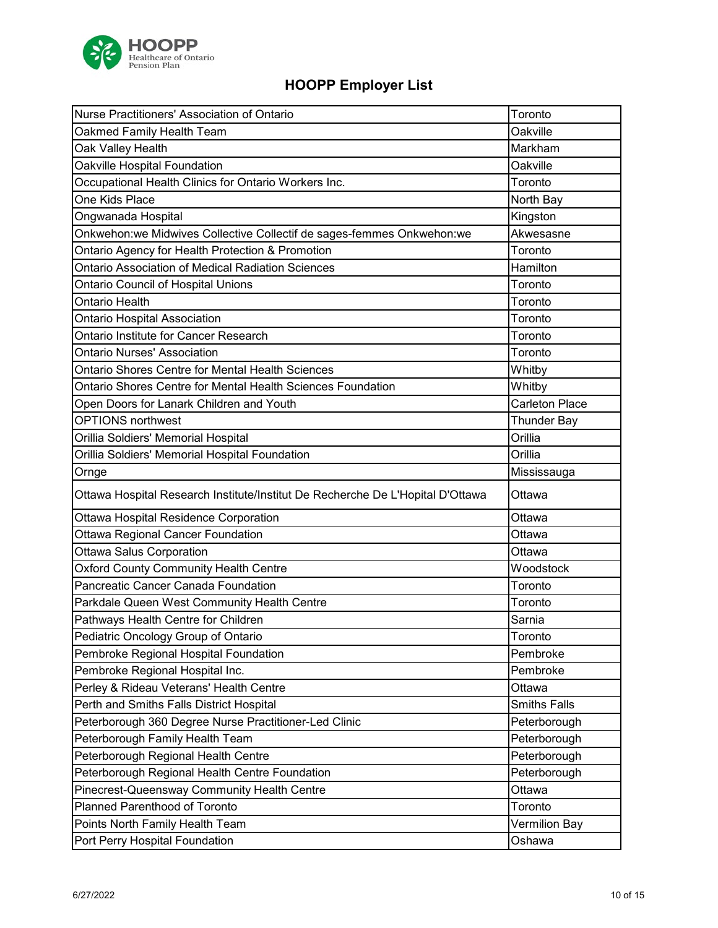

| Nurse Practitioners' Association of Ontario                                    | Toronto               |
|--------------------------------------------------------------------------------|-----------------------|
| Oakmed Family Health Team                                                      | Oakville              |
| Oak Valley Health                                                              | Markham               |
| Oakville Hospital Foundation                                                   | Oakville              |
| Occupational Health Clinics for Ontario Workers Inc.                           | Toronto               |
| One Kids Place                                                                 | North Bay             |
| Ongwanada Hospital                                                             | Kingston              |
| Onkwehon:we Midwives Collective Collectif de sages-femmes Onkwehon:we          | Akwesasne             |
| Ontario Agency for Health Protection & Promotion                               | Toronto               |
| Ontario Association of Medical Radiation Sciences                              | Hamilton              |
| Ontario Council of Hospital Unions                                             | Toronto               |
| Ontario Health                                                                 | Toronto               |
| <b>Ontario Hospital Association</b>                                            | Toronto               |
| Ontario Institute for Cancer Research                                          | Toronto               |
| <b>Ontario Nurses' Association</b>                                             | Toronto               |
| Ontario Shores Centre for Mental Health Sciences                               | Whitby                |
| Ontario Shores Centre for Mental Health Sciences Foundation                    | Whitby                |
| Open Doors for Lanark Children and Youth                                       | <b>Carleton Place</b> |
| <b>OPTIONS</b> northwest                                                       | <b>Thunder Bay</b>    |
| Orillia Soldiers' Memorial Hospital                                            | Orillia               |
| Orillia Soldiers' Memorial Hospital Foundation                                 | Orillia               |
|                                                                                | Mississauga           |
| Ornge                                                                          |                       |
| Ottawa Hospital Research Institute/Institut De Recherche De L'Hopital D'Ottawa | Ottawa                |
| Ottawa Hospital Residence Corporation                                          | Ottawa                |
| Ottawa Regional Cancer Foundation                                              | Ottawa                |
| <b>Ottawa Salus Corporation</b>                                                | Ottawa                |
| Oxford County Community Health Centre                                          | Woodstock             |
| Pancreatic Cancer Canada Foundation                                            | Toronto               |
| Parkdale Queen West Community Health Centre                                    | Toronto               |
| Pathways Health Centre for Children                                            | Sarnia                |
| Pediatric Oncology Group of Ontario                                            | Toronto               |
| Pembroke Regional Hospital Foundation                                          | Pembroke              |
| Pembroke Regional Hospital Inc.                                                | Pembroke              |
| Perley & Rideau Veterans' Health Centre                                        | Ottawa                |
| Perth and Smiths Falls District Hospital                                       | <b>Smiths Falls</b>   |
| Peterborough 360 Degree Nurse Practitioner-Led Clinic                          | Peterborough          |
| Peterborough Family Health Team                                                | Peterborough          |
| Peterborough Regional Health Centre                                            | Peterborough          |
| Peterborough Regional Health Centre Foundation                                 | Peterborough          |
| Pinecrest-Queensway Community Health Centre                                    | Ottawa                |
| Planned Parenthood of Toronto                                                  | Toronto               |
| Points North Family Health Team                                                | Vermilion Bay         |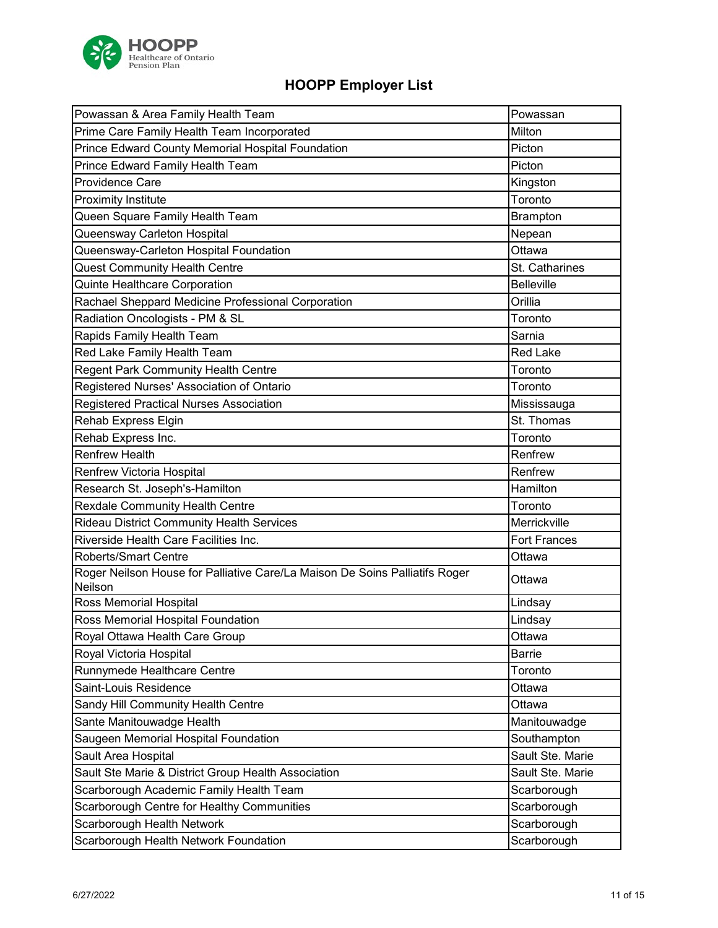

| Powassan & Area Family Health Team                                                     | Powassan              |
|----------------------------------------------------------------------------------------|-----------------------|
| Prime Care Family Health Team Incorporated                                             | Milton                |
| Prince Edward County Memorial Hospital Foundation                                      | Picton                |
| Prince Edward Family Health Team                                                       | Picton                |
| Providence Care                                                                        | Kingston              |
| <b>Proximity Institute</b>                                                             | Toronto               |
| Queen Square Family Health Team                                                        | <b>Brampton</b>       |
| Queensway Carleton Hospital                                                            | Nepean                |
| Queensway-Carleton Hospital Foundation                                                 | Ottawa                |
| <b>Quest Community Health Centre</b>                                                   | <b>St. Catharines</b> |
| Quinte Healthcare Corporation                                                          | <b>Belleville</b>     |
| Rachael Sheppard Medicine Professional Corporation                                     | Orillia               |
| Radiation Oncologists - PM & SL                                                        | Toronto               |
| Rapids Family Health Team                                                              | Sarnia                |
| Red Lake Family Health Team                                                            | <b>Red Lake</b>       |
| Regent Park Community Health Centre                                                    | Toronto               |
| Registered Nurses' Association of Ontario                                              | Toronto               |
| Registered Practical Nurses Association                                                | Mississauga           |
| Rehab Express Elgin                                                                    | St. Thomas            |
| Rehab Express Inc.                                                                     | Toronto               |
| <b>Renfrew Health</b>                                                                  | Renfrew               |
| Renfrew Victoria Hospital                                                              | Renfrew               |
| Research St. Joseph's-Hamilton                                                         | Hamilton              |
| <b>Rexdale Community Health Centre</b>                                                 | Toronto               |
| <b>Rideau District Community Health Services</b>                                       | Merrickville          |
| Riverside Health Care Facilities Inc.                                                  | <b>Fort Frances</b>   |
| <b>Roberts/Smart Centre</b>                                                            | Ottawa                |
| Roger Neilson House for Palliative Care/La Maison De Soins Palliatifs Roger<br>Neilson | Ottawa                |
| Ross Memorial Hospital                                                                 | Lindsay               |
| Ross Memorial Hospital Foundation                                                      | Lindsay               |
| Royal Ottawa Health Care Group                                                         | Ottawa                |
| Royal Victoria Hospital                                                                | Barrie                |
| Runnymede Healthcare Centre                                                            | Toronto               |
| Saint-Louis Residence                                                                  | Ottawa                |
| Sandy Hill Community Health Centre                                                     | Ottawa                |
| Sante Manitouwadge Health                                                              | Manitouwadge          |
| Saugeen Memorial Hospital Foundation                                                   | Southampton           |
| Sault Area Hospital                                                                    | Sault Ste. Marie      |
| Sault Ste Marie & District Group Health Association                                    | Sault Ste. Marie      |
| Scarborough Academic Family Health Team                                                | Scarborough           |
| Scarborough Centre for Healthy Communities                                             | Scarborough           |
| Scarborough Health Network                                                             | Scarborough           |
| Scarborough Health Network Foundation                                                  | Scarborough           |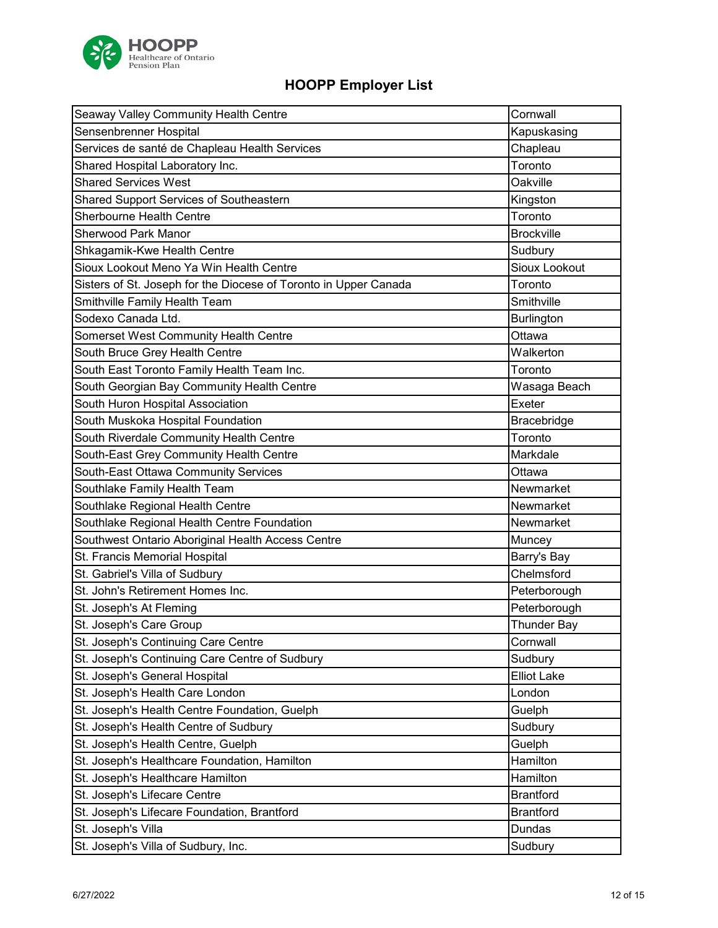

| Seaway Valley Community Health Centre                            | Cornwall           |
|------------------------------------------------------------------|--------------------|
| Sensenbrenner Hospital                                           | Kapuskasing        |
| Services de santé de Chapleau Health Services                    | Chapleau           |
| Shared Hospital Laboratory Inc.                                  | Toronto            |
| <b>Shared Services West</b>                                      | Oakville           |
| Shared Support Services of Southeastern                          | Kingston           |
| <b>Sherbourne Health Centre</b>                                  | Toronto            |
| <b>Sherwood Park Manor</b>                                       | <b>Brockville</b>  |
| Shkagamik-Kwe Health Centre                                      | Sudbury            |
| Sioux Lookout Meno Ya Win Health Centre                          | Sioux Lookout      |
| Sisters of St. Joseph for the Diocese of Toronto in Upper Canada | Toronto            |
| Smithville Family Health Team                                    | Smithville         |
| Sodexo Canada Ltd.                                               | Burlington         |
| Somerset West Community Health Centre                            | Ottawa             |
| South Bruce Grey Health Centre                                   | Walkerton          |
| South East Toronto Family Health Team Inc.                       | Toronto            |
| South Georgian Bay Community Health Centre                       | Wasaga Beach       |
| South Huron Hospital Association                                 | Exeter             |
| South Muskoka Hospital Foundation                                | Bracebridge        |
| South Riverdale Community Health Centre                          | Toronto            |
| South-East Grey Community Health Centre                          | Markdale           |
| South-East Ottawa Community Services                             | Ottawa             |
| Southlake Family Health Team                                     | Newmarket          |
| Southlake Regional Health Centre                                 | Newmarket          |
| Southlake Regional Health Centre Foundation                      | Newmarket          |
| Southwest Ontario Aboriginal Health Access Centre                | Muncey             |
| St. Francis Memorial Hospital                                    | Barry's Bay        |
| St. Gabriel's Villa of Sudbury                                   | Chelmsford         |
| St. John's Retirement Homes Inc.                                 | Peterborough       |
| St. Joseph's At Fleming                                          | Peterborough       |
| St. Joseph's Care Group                                          | <b>Thunder Bay</b> |
| St. Joseph's Continuing Care Centre                              | Cornwall           |
| St. Joseph's Continuing Care Centre of Sudbury                   | Sudbury            |
| St. Joseph's General Hospital                                    | <b>Elliot Lake</b> |
| St. Joseph's Health Care London                                  | London             |
| St. Joseph's Health Centre Foundation, Guelph                    | Guelph             |
| St. Joseph's Health Centre of Sudbury                            | Sudbury            |
| St. Joseph's Health Centre, Guelph                               | Guelph             |
| St. Joseph's Healthcare Foundation, Hamilton                     | Hamilton           |
| St. Joseph's Healthcare Hamilton                                 | Hamilton           |
| St. Joseph's Lifecare Centre                                     | <b>Brantford</b>   |
| St. Joseph's Lifecare Foundation, Brantford                      | <b>Brantford</b>   |
| St. Joseph's Villa                                               | Dundas             |
| St. Joseph's Villa of Sudbury, Inc.                              | Sudbury            |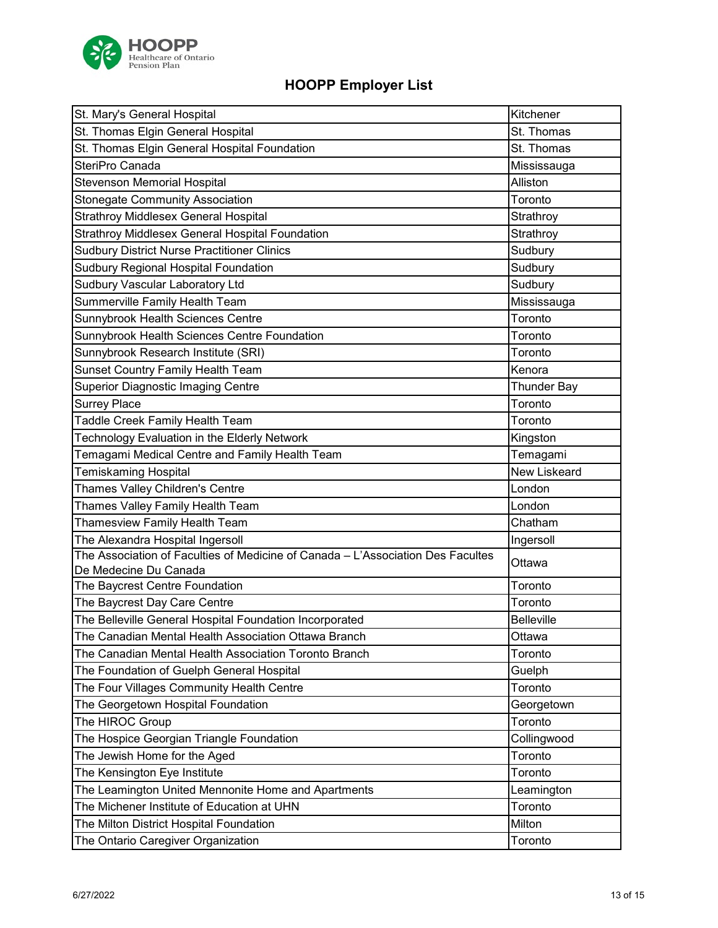

| St. Mary's General Hospital                                                                              | Kitchener           |
|----------------------------------------------------------------------------------------------------------|---------------------|
| St. Thomas Elgin General Hospital                                                                        | St. Thomas          |
| St. Thomas Elgin General Hospital Foundation                                                             | St. Thomas          |
| SteriPro Canada                                                                                          | Mississauga         |
| <b>Stevenson Memorial Hospital</b>                                                                       | Alliston            |
| <b>Stonegate Community Association</b>                                                                   | Toronto             |
| Strathroy Middlesex General Hospital                                                                     | Strathroy           |
| Strathroy Middlesex General Hospital Foundation                                                          | Strathroy           |
| <b>Sudbury District Nurse Practitioner Clinics</b>                                                       | Sudbury             |
| Sudbury Regional Hospital Foundation                                                                     | Sudbury             |
| Sudbury Vascular Laboratory Ltd                                                                          | Sudbury             |
| Summerville Family Health Team                                                                           | Mississauga         |
| Sunnybrook Health Sciences Centre                                                                        | Toronto             |
| Sunnybrook Health Sciences Centre Foundation                                                             | Toronto             |
| Sunnybrook Research Institute (SRI)                                                                      | Toronto             |
| Sunset Country Family Health Team                                                                        | Kenora              |
| <b>Superior Diagnostic Imaging Centre</b>                                                                | <b>Thunder Bay</b>  |
| <b>Surrey Place</b>                                                                                      | Toronto             |
| Taddle Creek Family Health Team                                                                          | Toronto             |
| Technology Evaluation in the Elderly Network                                                             | Kingston            |
| Temagami Medical Centre and Family Health Team                                                           | Temagami            |
| <b>Temiskaming Hospital</b>                                                                              | <b>New Liskeard</b> |
| Thames Valley Children's Centre                                                                          | London              |
| Thames Valley Family Health Team                                                                         | London              |
| Thamesview Family Health Team                                                                            | Chatham             |
| The Alexandra Hospital Ingersoll                                                                         | Ingersoll           |
| The Association of Faculties of Medicine of Canada - L'Association Des Facultes<br>De Medecine Du Canada | Ottawa              |
| The Baycrest Centre Foundation                                                                           | Toronto             |
| The Baycrest Day Care Centre                                                                             | Toronto             |
| The Belleville General Hospital Foundation Incorporated                                                  | <b>Belleville</b>   |
| The Canadian Mental Health Association Ottawa Branch                                                     | Ottawa              |
| The Canadian Mental Health Association Toronto Branch                                                    | Toronto             |
| The Foundation of Guelph General Hospital                                                                | Guelph              |
| The Four Villages Community Health Centre                                                                | Toronto             |
| The Georgetown Hospital Foundation                                                                       | Georgetown          |
| The HIROC Group                                                                                          | Toronto             |
| The Hospice Georgian Triangle Foundation                                                                 | Collingwood         |
| The Jewish Home for the Aged                                                                             | Toronto             |
| The Kensington Eye Institute                                                                             | Toronto             |
| The Leamington United Mennonite Home and Apartments                                                      | Leamington          |
| The Michener Institute of Education at UHN                                                               | Toronto             |
| The Milton District Hospital Foundation                                                                  | Milton              |
| The Ontario Caregiver Organization                                                                       | Toronto             |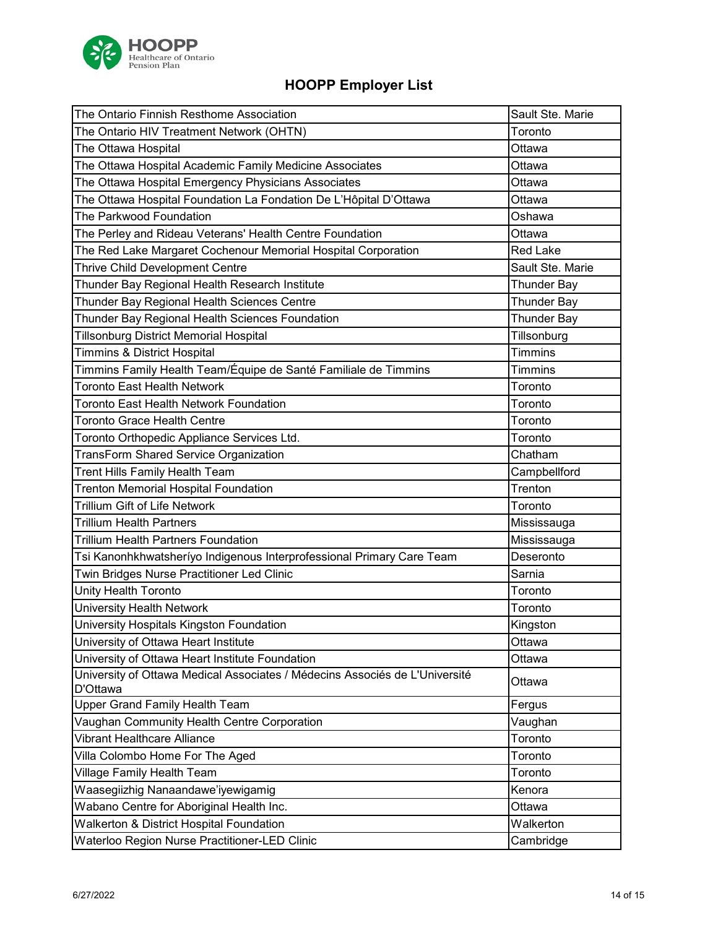

| The Ontario Finnish Resthome Association                                    | Sault Ste. Marie   |
|-----------------------------------------------------------------------------|--------------------|
| The Ontario HIV Treatment Network (OHTN)                                    | Toronto            |
| The Ottawa Hospital                                                         | Ottawa             |
| The Ottawa Hospital Academic Family Medicine Associates                     | Ottawa             |
| The Ottawa Hospital Emergency Physicians Associates                         | Ottawa             |
| The Ottawa Hospital Foundation La Fondation De L'Hôpital D'Ottawa           | Ottawa             |
| The Parkwood Foundation                                                     | Oshawa             |
| The Perley and Rideau Veterans' Health Centre Foundation                    | Ottawa             |
| The Red Lake Margaret Cochenour Memorial Hospital Corporation               | <b>Red Lake</b>    |
| Thrive Child Development Centre                                             | Sault Ste. Marie   |
| Thunder Bay Regional Health Research Institute                              | <b>Thunder Bay</b> |
| Thunder Bay Regional Health Sciences Centre                                 | <b>Thunder Bay</b> |
| Thunder Bay Regional Health Sciences Foundation                             | <b>Thunder Bay</b> |
| <b>Tillsonburg District Memorial Hospital</b>                               | Tillsonburg        |
| <b>Timmins &amp; District Hospital</b>                                      | <b>Timmins</b>     |
| Timmins Family Health Team/Équipe de Santé Familiale de Timmins             | <b>Timmins</b>     |
| <b>Toronto East Health Network</b>                                          | Toronto            |
| Toronto East Health Network Foundation                                      | Toronto            |
| <b>Toronto Grace Health Centre</b>                                          | Toronto            |
| Toronto Orthopedic Appliance Services Ltd.                                  | Toronto            |
| <b>TransForm Shared Service Organization</b>                                | Chatham            |
| Trent Hills Family Health Team                                              | Campbellford       |
| <b>Trenton Memorial Hospital Foundation</b>                                 | Trenton            |
| <b>Trillium Gift of Life Network</b>                                        | Toronto            |
| <b>Trillium Health Partners</b>                                             | Mississauga        |
| <b>Trillium Health Partners Foundation</b>                                  | Mississauga        |
| Tsi Kanonhkhwatsheríyo Indigenous Interprofessional Primary Care Team       | Deseronto          |
| Twin Bridges Nurse Practitioner Led Clinic                                  | Sarnia             |
| Unity Health Toronto                                                        | Toronto            |
| University Health Network                                                   | Toronto            |
| University Hospitals Kingston Foundation                                    | Kingston           |
| University of Ottawa Heart Institute                                        | Ottawa             |
| University of Ottawa Heart Institute Foundation                             | Ottawa             |
| University of Ottawa Medical Associates / Médecins Associés de L'Université | Ottawa             |
| D'Ottawa                                                                    |                    |
| Upper Grand Family Health Team                                              | Fergus             |
| Vaughan Community Health Centre Corporation                                 | Vaughan            |
| Vibrant Healthcare Alliance                                                 | Toronto            |
| Villa Colombo Home For The Aged                                             | Toronto            |
| Village Family Health Team                                                  | Toronto            |
| Waasegiizhig Nanaandawe'iyewigamig                                          | Kenora             |
| Wabano Centre for Aboriginal Health Inc.                                    | Ottawa             |
| Walkerton & District Hospital Foundation                                    | Walkerton          |
| Waterloo Region Nurse Practitioner-LED Clinic                               | Cambridge          |